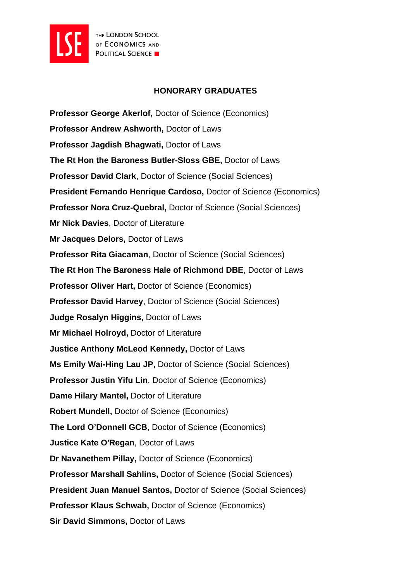

## **HONORARY GRADUATES**

**Professor George Akerlof,** Doctor of Science (Economics) **Professor Andrew Ashworth,** Doctor of Laws **Professor Jagdish Bhagwati,** Doctor of Laws **The Rt Hon the Baroness Butler-Sloss GBE,** Doctor of Laws **Professor David Clark**, Doctor of Science (Social Sciences) **President Fernando Henrique Cardoso,** Doctor of Science (Economics) **Professor Nora Cruz-Quebral,** Doctor of Science (Social Sciences) **Mr Nick Davies**, Doctor of Literature **Mr Jacques Delors,** Doctor of Laws **Professor Rita Giacaman**, Doctor of Science (Social Sciences) **The Rt Hon The Baroness Hale of Richmond DBE**, Doctor of Laws **Professor Oliver Hart,** Doctor of Science (Economics) **Professor David Harvey**, Doctor of Science (Social Sciences) **Judge Rosalyn Higgins,** Doctor of Laws **Mr Michael Holroyd,** Doctor of Literature **Justice Anthony McLeod Kennedy,** Doctor of Laws **Ms Emily Wai-Hing Lau JP,** Doctor of Science (Social Sciences) **Professor Justin Yifu Lin**, Doctor of Science (Economics) **Dame Hilary Mantel,** Doctor of Literature **Robert Mundell,** Doctor of Science (Economics) **The Lord O'Donnell GCB**, Doctor of Science (Economics) **Justice Kate O'Regan**, Doctor of Laws **Dr Navanethem Pillay,** Doctor of Science (Economics) **Professor Marshall Sahlins,** Doctor of Science (Social Sciences) **President Juan Manuel Santos,** Doctor of Science (Social Sciences) **Professor Klaus Schwab,** Doctor of Science (Economics) **Sir David Simmons,** Doctor of Laws